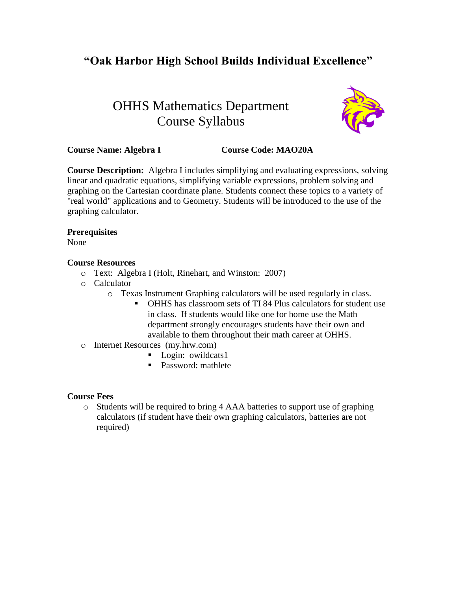# **"Oak Harbor High School Builds Individual Excellence"**

# OHHS Mathematics Department Course Syllabus



## **Course Name: Algebra I Course Code: MAO20A**

**Course Description:** Algebra I includes simplifying and evaluating expressions, solving linear and quadratic equations, simplifying variable expressions, problem solving and graphing on the Cartesian coordinate plane. Students connect these topics to a variety of "real world" applications and to Geometry. Students will be introduced to the use of the graphing calculator.

#### **Prerequisites**

None

#### **Course Resources**

- o Text: Algebra I (Holt, Rinehart, and Winston: 2007)
- o Calculator
	- o Texas Instrument Graphing calculators will be used regularly in class.
		- OHHS has classroom sets of TI 84 Plus calculators for student use in class. If students would like one for home use the Math department strongly encourages students have their own and available to them throughout their math career at OHHS.
- o Internet Resources (my.hrw.com)
	- **Login:** owildcats1
	- Password: mathlete

#### **Course Fees**

o Students will be required to bring 4 AAA batteries to support use of graphing calculators (if student have their own graphing calculators, batteries are not required)